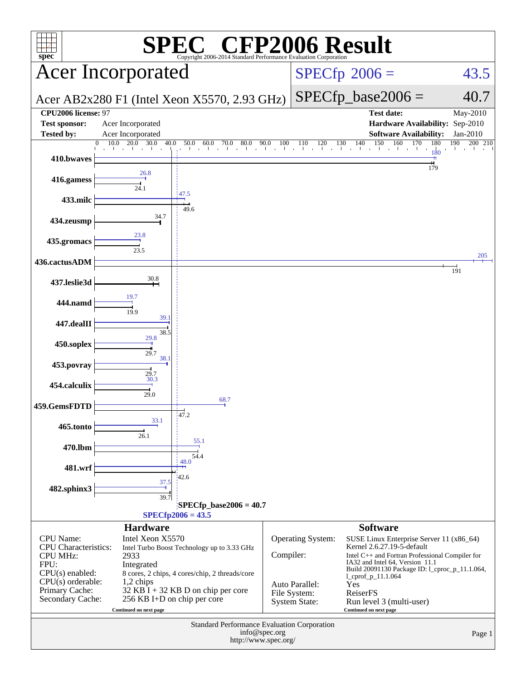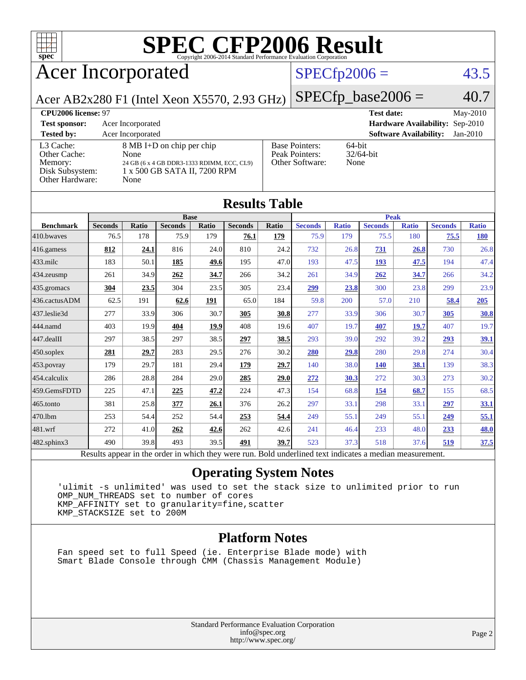

# **[SPEC CFP2006 Result](http://www.spec.org/auto/cpu2006/Docs/result-fields.html#SPECCFP2006Result)**

# Acer Incorporated

### $SPECfp2006 = 43.5$  $SPECfp2006 = 43.5$

Acer AB2x280 F1 (Intel Xeon X5570, 2.93 GHz)

 $SPECfp\_base2006 = 40.7$ 

| CPU <sub>2006</sub> license: 97                                            |                                                                                                                                   | <b>Test date:</b>                                          | May-2010                       |            |
|----------------------------------------------------------------------------|-----------------------------------------------------------------------------------------------------------------------------------|------------------------------------------------------------|--------------------------------|------------|
| <b>Test sponsor:</b>                                                       | Acer Incorporated                                                                                                                 | Hardware Availability: Sep-2010                            |                                |            |
| <b>Tested by:</b>                                                          | Acer Incorporated                                                                                                                 |                                                            | <b>Software Availability:</b>  | $Jan-2010$ |
| L3 Cache:<br>Other Cache:<br>Memory:<br>Disk Subsystem:<br>Other Hardware: | $8 \text{ MB I+D}$ on chip per chip<br>None<br>24 GB (6 x 4 GB DDR3-1333 RDIMM, ECC, CL9)<br>1 x 500 GB SATA II, 7200 RPM<br>None | <b>Base Pointers:</b><br>Peak Pointers:<br>Other Software: | 64-bit<br>$32/64$ -bit<br>None |            |

| <b>Results Table</b>                                                                                     |                |              |                |       |                |             |                |              |                |              |                |              |
|----------------------------------------------------------------------------------------------------------|----------------|--------------|----------------|-------|----------------|-------------|----------------|--------------|----------------|--------------|----------------|--------------|
|                                                                                                          | <b>Base</b>    |              |                |       |                | <b>Peak</b> |                |              |                |              |                |              |
| <b>Benchmark</b>                                                                                         | <b>Seconds</b> | <b>Ratio</b> | <b>Seconds</b> | Ratio | <b>Seconds</b> | Ratio       | <b>Seconds</b> | <b>Ratio</b> | <b>Seconds</b> | <b>Ratio</b> | <b>Seconds</b> | <b>Ratio</b> |
| 410.bwayes                                                                                               | 76.5           | 178          | 75.9           | 179   | 76.1           | 179         | 75.9           | 179          | 75.5           | 180          | 75.5           | <b>180</b>   |
| 416.gamess                                                                                               | 812            | 24.1         | 816            | 24.0  | 810            | 24.2        | 732            | 26.8         | <u>731</u>     | 26.8         | 730            | 26.8         |
| $433$ .milc                                                                                              | 183            | 50.1         | 185            | 49.6  | 195            | 47.0        | 193            | 47.5         | 193            | 47.5         | 194            | 47.4         |
| $434$ . zeusmp                                                                                           | 261            | 34.9         | 262            | 34.7  | 266            | 34.2        | 261            | 34.9         | 262            | 34.7         | 266            | 34.2         |
| 435.gromacs                                                                                              | 304            | 23.5         | 304            | 23.5  | 305            | 23.4        | 299            | 23.8         | 300            | 23.8         | 299            | 23.9         |
| 436.cactusADM                                                                                            | 62.5           | 191          | 62.6           | 191   | 65.0           | 184         | 59.8           | 200          | 57.0           | 210          | 58.4           | 205          |
| 437.leslie3d                                                                                             | 277            | 33.9         | 306            | 30.7  | 305            | 30.8        | 277            | 33.9         | 306            | 30.7         | 305            | 30.8         |
| 444.namd                                                                                                 | 403            | 19.9         | 404            | 19.9  | 408            | 19.6        | 407            | 19.7         | 407            | <b>19.7</b>  | 407            | 19.7         |
| $447$ .dealII                                                                                            | 297            | 38.5         | 297            | 38.5  | 297            | 38.5        | 293            | 39.0         | 292            | 39.2         | 293            | <u>39.1</u>  |
| $450$ .soplex                                                                                            | 281            | 29.7         | 283            | 29.5  | 276            | 30.2        | 280            | 29.8         | 280            | 29.8         | 274            | 30.4         |
| $453$ .povray                                                                                            | 179            | 29.7         | 181            | 29.4  | 179            | 29.7        | 140            | 38.0         | <b>140</b>     | 38.1         | 139            | 38.3         |
| 454.calculix                                                                                             | 286            | 28.8         | 284            | 29.0  | 285            | 29.0        | 272            | 30.3         | 272            | 30.3         | 273            | 30.2         |
| 459.GemsFDTD                                                                                             | 225            | 47.1         | 225            | 47.2  | 224            | 47.3        | 154            | 68.8         | 154            | 68.7         | 155            | 68.5         |
| $465$ .tonto                                                                                             | 381            | 25.8         | 377            | 26.1  | 376            | 26.2        | 297            | 33.1         | 298            | 33.1         | 297            | 33.1         |
| 470.1bm                                                                                                  | 253            | 54.4         | 252            | 54.4  | 253            | 54.4        | 249            | 55.1         | 249            | 55.1         | 249            | 55.1         |
| 481.wrf                                                                                                  | 272            | 41.0         | 262            | 42.6  | 262            | 42.6        | 241            | 46.4         | 233            | 48.0         | 233            | 48.0         |
| $482$ .sphinx $3$                                                                                        | 490            | 39.8         | 493            | 39.5  | 491            | 39.7        | 523            | 37.3         | 518            | 37.6         | 519            | 37.5         |
| Results appear in the order in which they were run. Bold underlined text indicates a median measurement. |                |              |                |       |                |             |                |              |                |              |                |              |

### **[Operating System Notes](http://www.spec.org/auto/cpu2006/Docs/result-fields.html#OperatingSystemNotes)**

 'ulimit -s unlimited' was used to set the stack size to unlimited prior to run OMP\_NUM\_THREADS set to number of cores KMP\_AFFINITY set to granularity=fine,scatter KMP\_STACKSIZE set to 200M

#### **[Platform Notes](http://www.spec.org/auto/cpu2006/Docs/result-fields.html#PlatformNotes)**

 Fan speed set to full Speed (ie. Enterprise Blade mode) with Smart Blade Console through CMM (Chassis Management Module)

> Standard Performance Evaluation Corporation [info@spec.org](mailto:info@spec.org) <http://www.spec.org/>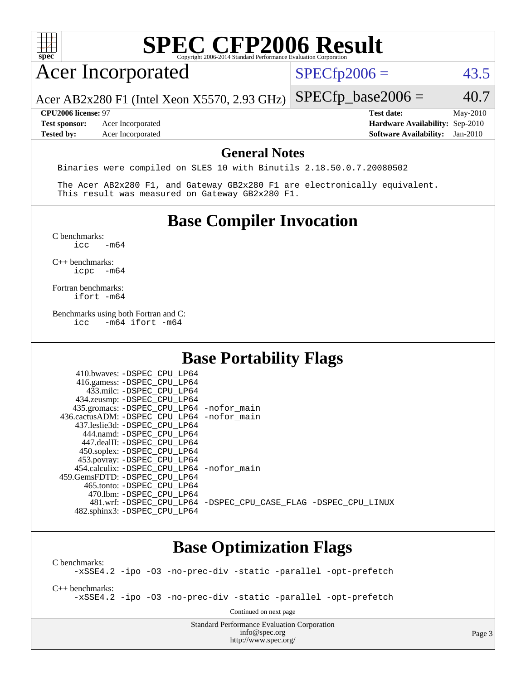

### **[Base Optimization Flags](http://www.spec.org/auto/cpu2006/Docs/result-fields.html#BaseOptimizationFlags)**

[C benchmarks](http://www.spec.org/auto/cpu2006/Docs/result-fields.html#Cbenchmarks): [-xSSE4.2](http://www.spec.org/cpu2006/results/res2010q3/cpu2006-20100715-12399.flags.html#user_CCbase_f-xSSE42_f91528193cf0b216347adb8b939d4107) [-ipo](http://www.spec.org/cpu2006/results/res2010q3/cpu2006-20100715-12399.flags.html#user_CCbase_f-ipo) [-O3](http://www.spec.org/cpu2006/results/res2010q3/cpu2006-20100715-12399.flags.html#user_CCbase_f-O3) [-no-prec-div](http://www.spec.org/cpu2006/results/res2010q3/cpu2006-20100715-12399.flags.html#user_CCbase_f-no-prec-div) [-static](http://www.spec.org/cpu2006/results/res2010q3/cpu2006-20100715-12399.flags.html#user_CCbase_f-static) [-parallel](http://www.spec.org/cpu2006/results/res2010q3/cpu2006-20100715-12399.flags.html#user_CCbase_f-parallel) [-opt-prefetch](http://www.spec.org/cpu2006/results/res2010q3/cpu2006-20100715-12399.flags.html#user_CCbase_f-opt-prefetch) [C++ benchmarks:](http://www.spec.org/auto/cpu2006/Docs/result-fields.html#CXXbenchmarks) [-xSSE4.2](http://www.spec.org/cpu2006/results/res2010q3/cpu2006-20100715-12399.flags.html#user_CXXbase_f-xSSE42_f91528193cf0b216347adb8b939d4107) [-ipo](http://www.spec.org/cpu2006/results/res2010q3/cpu2006-20100715-12399.flags.html#user_CXXbase_f-ipo) [-O3](http://www.spec.org/cpu2006/results/res2010q3/cpu2006-20100715-12399.flags.html#user_CXXbase_f-O3) [-no-prec-div](http://www.spec.org/cpu2006/results/res2010q3/cpu2006-20100715-12399.flags.html#user_CXXbase_f-no-prec-div) [-static](http://www.spec.org/cpu2006/results/res2010q3/cpu2006-20100715-12399.flags.html#user_CXXbase_f-static) [-parallel](http://www.spec.org/cpu2006/results/res2010q3/cpu2006-20100715-12399.flags.html#user_CXXbase_f-parallel) [-opt-prefetch](http://www.spec.org/cpu2006/results/res2010q3/cpu2006-20100715-12399.flags.html#user_CXXbase_f-opt-prefetch) Continued on next page

> Standard Performance Evaluation Corporation [info@spec.org](mailto:info@spec.org) <http://www.spec.org/>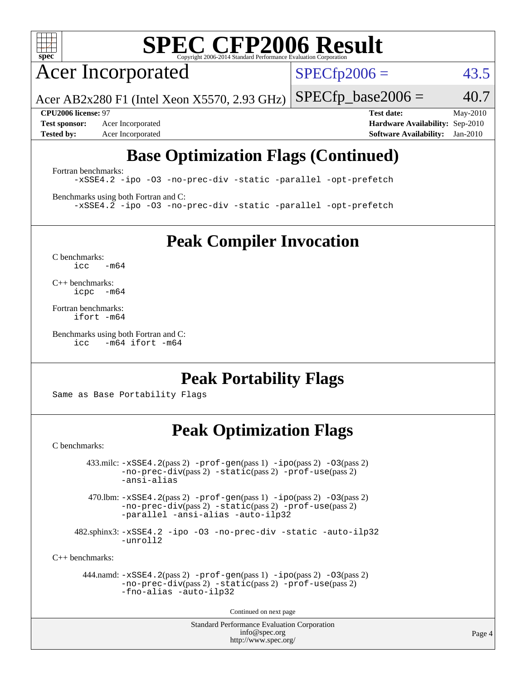

# **[SPEC CFP2006 Result](http://www.spec.org/auto/cpu2006/Docs/result-fields.html#SPECCFP2006Result)**

Acer Incorporated

 $SPECfp2006 = 43.5$  $SPECfp2006 = 43.5$ 

Acer AB2x280 F1 (Intel Xeon X5570, 2.93 GHz)  $SPECTp\_base2006 = 40.7$ 

**[Test sponsor:](http://www.spec.org/auto/cpu2006/Docs/result-fields.html#Testsponsor)** Acer Incorporated **[Hardware Availability:](http://www.spec.org/auto/cpu2006/Docs/result-fields.html#HardwareAvailability)** Sep-2010 **[Tested by:](http://www.spec.org/auto/cpu2006/Docs/result-fields.html#Testedby)** Acer Incorporated **[Software Availability:](http://www.spec.org/auto/cpu2006/Docs/result-fields.html#SoftwareAvailability)** Jan-2010

**[CPU2006 license:](http://www.spec.org/auto/cpu2006/Docs/result-fields.html#CPU2006license)** 97 **[Test date:](http://www.spec.org/auto/cpu2006/Docs/result-fields.html#Testdate)** May-2010

# **[Base Optimization Flags \(Continued\)](http://www.spec.org/auto/cpu2006/Docs/result-fields.html#BaseOptimizationFlags)**

[Fortran benchmarks](http://www.spec.org/auto/cpu2006/Docs/result-fields.html#Fortranbenchmarks):

[-xSSE4.2](http://www.spec.org/cpu2006/results/res2010q3/cpu2006-20100715-12399.flags.html#user_FCbase_f-xSSE42_f91528193cf0b216347adb8b939d4107) [-ipo](http://www.spec.org/cpu2006/results/res2010q3/cpu2006-20100715-12399.flags.html#user_FCbase_f-ipo) [-O3](http://www.spec.org/cpu2006/results/res2010q3/cpu2006-20100715-12399.flags.html#user_FCbase_f-O3) [-no-prec-div](http://www.spec.org/cpu2006/results/res2010q3/cpu2006-20100715-12399.flags.html#user_FCbase_f-no-prec-div) [-static](http://www.spec.org/cpu2006/results/res2010q3/cpu2006-20100715-12399.flags.html#user_FCbase_f-static) [-parallel](http://www.spec.org/cpu2006/results/res2010q3/cpu2006-20100715-12399.flags.html#user_FCbase_f-parallel) [-opt-prefetch](http://www.spec.org/cpu2006/results/res2010q3/cpu2006-20100715-12399.flags.html#user_FCbase_f-opt-prefetch)

[Benchmarks using both Fortran and C](http://www.spec.org/auto/cpu2006/Docs/result-fields.html#BenchmarksusingbothFortranandC): [-xSSE4.2](http://www.spec.org/cpu2006/results/res2010q3/cpu2006-20100715-12399.flags.html#user_CC_FCbase_f-xSSE42_f91528193cf0b216347adb8b939d4107) [-ipo](http://www.spec.org/cpu2006/results/res2010q3/cpu2006-20100715-12399.flags.html#user_CC_FCbase_f-ipo) [-O3](http://www.spec.org/cpu2006/results/res2010q3/cpu2006-20100715-12399.flags.html#user_CC_FCbase_f-O3) [-no-prec-div](http://www.spec.org/cpu2006/results/res2010q3/cpu2006-20100715-12399.flags.html#user_CC_FCbase_f-no-prec-div) [-static](http://www.spec.org/cpu2006/results/res2010q3/cpu2006-20100715-12399.flags.html#user_CC_FCbase_f-static) [-parallel](http://www.spec.org/cpu2006/results/res2010q3/cpu2006-20100715-12399.flags.html#user_CC_FCbase_f-parallel) [-opt-prefetch](http://www.spec.org/cpu2006/results/res2010q3/cpu2006-20100715-12399.flags.html#user_CC_FCbase_f-opt-prefetch)

**[Peak Compiler Invocation](http://www.spec.org/auto/cpu2006/Docs/result-fields.html#PeakCompilerInvocation)**

[C benchmarks](http://www.spec.org/auto/cpu2006/Docs/result-fields.html#Cbenchmarks):  $icc$   $-m64$ 

[C++ benchmarks:](http://www.spec.org/auto/cpu2006/Docs/result-fields.html#CXXbenchmarks) [icpc -m64](http://www.spec.org/cpu2006/results/res2010q3/cpu2006-20100715-12399.flags.html#user_CXXpeak_intel_icpc_64bit_bedb90c1146cab66620883ef4f41a67e)

[Fortran benchmarks](http://www.spec.org/auto/cpu2006/Docs/result-fields.html#Fortranbenchmarks): [ifort -m64](http://www.spec.org/cpu2006/results/res2010q3/cpu2006-20100715-12399.flags.html#user_FCpeak_intel_ifort_64bit_ee9d0fb25645d0210d97eb0527dcc06e)

[Benchmarks using both Fortran and C](http://www.spec.org/auto/cpu2006/Docs/result-fields.html#BenchmarksusingbothFortranandC): [icc -m64](http://www.spec.org/cpu2006/results/res2010q3/cpu2006-20100715-12399.flags.html#user_CC_FCpeak_intel_icc_64bit_0b7121f5ab7cfabee23d88897260401c) [ifort -m64](http://www.spec.org/cpu2006/results/res2010q3/cpu2006-20100715-12399.flags.html#user_CC_FCpeak_intel_ifort_64bit_ee9d0fb25645d0210d97eb0527dcc06e)

### **[Peak Portability Flags](http://www.spec.org/auto/cpu2006/Docs/result-fields.html#PeakPortabilityFlags)**

Same as Base Portability Flags

## **[Peak Optimization Flags](http://www.spec.org/auto/cpu2006/Docs/result-fields.html#PeakOptimizationFlags)**

[C benchmarks](http://www.spec.org/auto/cpu2006/Docs/result-fields.html#Cbenchmarks):

 $433 \text{.}$ milc:  $-xSSE4$ .  $2(pass 2)$  - $prof-gen(pass 1)$  - $ipo(pass 2)$  [-O3](http://www.spec.org/cpu2006/results/res2010q3/cpu2006-20100715-12399.flags.html#user_peakPASS2_CFLAGSPASS2_LDFLAGS433_milc_f-O3) $(pass 2)$ [-no-prec-div](http://www.spec.org/cpu2006/results/res2010q3/cpu2006-20100715-12399.flags.html#user_peakPASS2_CFLAGSPASS2_LDFLAGS433_milc_f-no-prec-div)(pass 2) [-static](http://www.spec.org/cpu2006/results/res2010q3/cpu2006-20100715-12399.flags.html#user_peakPASS2_CFLAGSPASS2_LDFLAGS433_milc_f-static)(pass 2) [-prof-use](http://www.spec.org/cpu2006/results/res2010q3/cpu2006-20100715-12399.flags.html#user_peakPASS2_CFLAGSPASS2_LDFLAGS433_milc_prof_use_bccf7792157ff70d64e32fe3e1250b55)(pass 2) [-ansi-alias](http://www.spec.org/cpu2006/results/res2010q3/cpu2006-20100715-12399.flags.html#user_peakOPTIMIZE433_milc_f-ansi-alias)

470.lbm:  $-xSSE4$ . 2(pass 2)  $-prof-gen(pass 1) -ipo(pass 2) -O3(pass 2)$  $-prof-gen(pass 1) -ipo(pass 2) -O3(pass 2)$  $-prof-gen(pass 1) -ipo(pass 2) -O3(pass 2)$  $-prof-gen(pass 1) -ipo(pass 2) -O3(pass 2)$  $-prof-gen(pass 1) -ipo(pass 2) -O3(pass 2)$  $-prof-gen(pass 1) -ipo(pass 2) -O3(pass 2)$ [-no-prec-div](http://www.spec.org/cpu2006/results/res2010q3/cpu2006-20100715-12399.flags.html#user_peakPASS2_CFLAGSPASS2_LDFLAGS470_lbm_f-no-prec-div)(pass 2) [-static](http://www.spec.org/cpu2006/results/res2010q3/cpu2006-20100715-12399.flags.html#user_peakPASS2_CFLAGSPASS2_LDFLAGS470_lbm_f-static)(pass 2) [-prof-use](http://www.spec.org/cpu2006/results/res2010q3/cpu2006-20100715-12399.flags.html#user_peakPASS2_CFLAGSPASS2_LDFLAGS470_lbm_prof_use_bccf7792157ff70d64e32fe3e1250b55)(pass 2) [-parallel](http://www.spec.org/cpu2006/results/res2010q3/cpu2006-20100715-12399.flags.html#user_peakOPTIMIZE470_lbm_f-parallel) [-ansi-alias](http://www.spec.org/cpu2006/results/res2010q3/cpu2006-20100715-12399.flags.html#user_peakOPTIMIZE470_lbm_f-ansi-alias) [-auto-ilp32](http://www.spec.org/cpu2006/results/res2010q3/cpu2006-20100715-12399.flags.html#user_peakCOPTIMIZE470_lbm_f-auto-ilp32)

 482.sphinx3: [-xSSE4.2](http://www.spec.org/cpu2006/results/res2010q3/cpu2006-20100715-12399.flags.html#user_peakOPTIMIZE482_sphinx3_f-xSSE42_f91528193cf0b216347adb8b939d4107) [-ipo](http://www.spec.org/cpu2006/results/res2010q3/cpu2006-20100715-12399.flags.html#user_peakOPTIMIZE482_sphinx3_f-ipo) [-O3](http://www.spec.org/cpu2006/results/res2010q3/cpu2006-20100715-12399.flags.html#user_peakOPTIMIZE482_sphinx3_f-O3) [-no-prec-div](http://www.spec.org/cpu2006/results/res2010q3/cpu2006-20100715-12399.flags.html#user_peakOPTIMIZE482_sphinx3_f-no-prec-div) [-static](http://www.spec.org/cpu2006/results/res2010q3/cpu2006-20100715-12399.flags.html#user_peakOPTIMIZE482_sphinx3_f-static) [-auto-ilp32](http://www.spec.org/cpu2006/results/res2010q3/cpu2006-20100715-12399.flags.html#user_peakCOPTIMIZE482_sphinx3_f-auto-ilp32) [-unroll2](http://www.spec.org/cpu2006/results/res2010q3/cpu2006-20100715-12399.flags.html#user_peakCOPTIMIZE482_sphinx3_f-unroll_784dae83bebfb236979b41d2422d7ec2)

[C++ benchmarks:](http://www.spec.org/auto/cpu2006/Docs/result-fields.html#CXXbenchmarks)

 444.namd: [-xSSE4.2](http://www.spec.org/cpu2006/results/res2010q3/cpu2006-20100715-12399.flags.html#user_peakPASS2_CXXFLAGSPASS2_LDFLAGS444_namd_f-xSSE42_f91528193cf0b216347adb8b939d4107)(pass 2) [-prof-gen](http://www.spec.org/cpu2006/results/res2010q3/cpu2006-20100715-12399.flags.html#user_peakPASS1_CXXFLAGSPASS1_LDFLAGS444_namd_prof_gen_e43856698f6ca7b7e442dfd80e94a8fc)(pass 1) [-ipo](http://www.spec.org/cpu2006/results/res2010q3/cpu2006-20100715-12399.flags.html#user_peakPASS2_CXXFLAGSPASS2_LDFLAGS444_namd_f-ipo)(pass 2) [-O3](http://www.spec.org/cpu2006/results/res2010q3/cpu2006-20100715-12399.flags.html#user_peakPASS2_CXXFLAGSPASS2_LDFLAGS444_namd_f-O3)(pass 2) [-no-prec-div](http://www.spec.org/cpu2006/results/res2010q3/cpu2006-20100715-12399.flags.html#user_peakPASS2_CXXFLAGSPASS2_LDFLAGS444_namd_f-no-prec-div)(pass 2) [-static](http://www.spec.org/cpu2006/results/res2010q3/cpu2006-20100715-12399.flags.html#user_peakPASS2_CXXFLAGSPASS2_LDFLAGS444_namd_f-static)(pass 2) [-prof-use](http://www.spec.org/cpu2006/results/res2010q3/cpu2006-20100715-12399.flags.html#user_peakPASS2_CXXFLAGSPASS2_LDFLAGS444_namd_prof_use_bccf7792157ff70d64e32fe3e1250b55)(pass 2) [-fno-alias](http://www.spec.org/cpu2006/results/res2010q3/cpu2006-20100715-12399.flags.html#user_peakOPTIMIZE444_namd_f-no-alias_694e77f6c5a51e658e82ccff53a9e63a) [-auto-ilp32](http://www.spec.org/cpu2006/results/res2010q3/cpu2006-20100715-12399.flags.html#user_peakCXXOPTIMIZE444_namd_f-auto-ilp32)

Continued on next page

Standard Performance Evaluation Corporation [info@spec.org](mailto:info@spec.org) <http://www.spec.org/>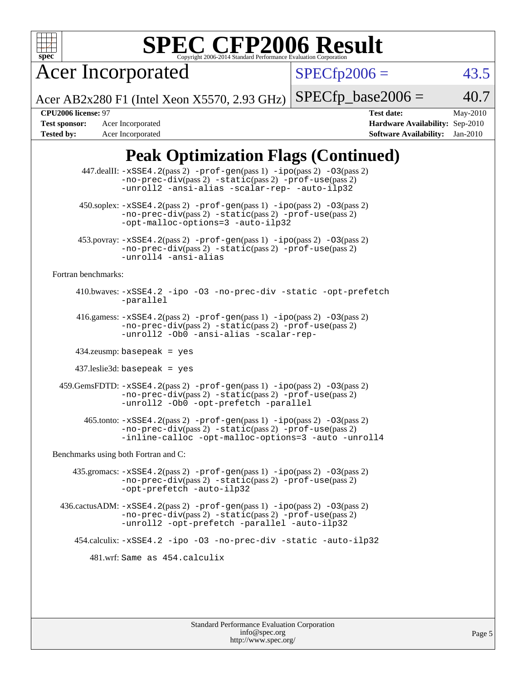

# **[SPEC CFP2006 Result](http://www.spec.org/auto/cpu2006/Docs/result-fields.html#SPECCFP2006Result)**

Acer Incorporated

 $SPECfp2006 = 43.5$  $SPECfp2006 = 43.5$ 

Acer AB2x280 F1 (Intel Xeon X5570, 2.93 GHz)  $SPECfp\_base2006 = 40.7$ 

**[Tested by:](http://www.spec.org/auto/cpu2006/Docs/result-fields.html#Testedby)** Acer Incorporated **[Software Availability:](http://www.spec.org/auto/cpu2006/Docs/result-fields.html#SoftwareAvailability)** Jan-2010

**[CPU2006 license:](http://www.spec.org/auto/cpu2006/Docs/result-fields.html#CPU2006license)** 97 **[Test date:](http://www.spec.org/auto/cpu2006/Docs/result-fields.html#Testdate)** May-2010 **[Test sponsor:](http://www.spec.org/auto/cpu2006/Docs/result-fields.html#Testsponsor)** Acer Incorporated **[Hardware Availability:](http://www.spec.org/auto/cpu2006/Docs/result-fields.html#HardwareAvailability)** Sep-2010

## **[Peak Optimization Flags \(Continued\)](http://www.spec.org/auto/cpu2006/Docs/result-fields.html#PeakOptimizationFlags)**

|                                      | 447.dealII: -xSSE4.2(pass 2) -prof-gen(pass 1) -ipo(pass 2) -03(pass 2)<br>$-no-prec-div(pass 2) -static(pass 2) -prof-use(pass 2)$<br>-unroll2 -ansi-alias -scalar-rep- -auto-ilp32                                                                     |  |  |  |  |
|--------------------------------------|----------------------------------------------------------------------------------------------------------------------------------------------------------------------------------------------------------------------------------------------------------|--|--|--|--|
|                                      | $450.\text{soplex: } -x\text{SSE4}.2(\text{pass 2}) - \text{prof-gen}(\text{pass 1}) - \text{ipo}(\text{pass 2}) - 03(\text{pass 2})$<br>$-no\text{-prec-div}(pass 2)$ $-static(pass 2)$ $-prot\text{-use}(pass 2)$<br>-opt-malloc-options=3 -auto-ilp32 |  |  |  |  |
|                                      | 453.povray: -xSSE4.2(pass 2) -prof-gen(pass 1) -ipo(pass 2) -03(pass 2)<br>$-no-prec-div(pass 2) -static(pass 2) -prof-use(pass 2)$<br>-unroll4 -ansi-alias                                                                                              |  |  |  |  |
| Fortran benchmarks:                  |                                                                                                                                                                                                                                                          |  |  |  |  |
|                                      | 410.bwaves: -xSSE4.2 -ipo -03 -no-prec-div -static -opt-prefetch<br>-parallel                                                                                                                                                                            |  |  |  |  |
|                                      | 416.gamess: $-xSSE4$ . 2(pass 2) $-prof-gen(pass 1) -ipo(pass 2) -O3(pass 2)$<br>-no-prec-div(pass 2) -static(pass 2) -prof-use(pass 2)<br>-unroll2 -Ob0 -ansi-alias -scalar-rep-                                                                        |  |  |  |  |
|                                      | $434$ .zeusmp: basepeak = yes                                                                                                                                                                                                                            |  |  |  |  |
|                                      | $437$ leslie3d: basepeak = yes                                                                                                                                                                                                                           |  |  |  |  |
|                                      | 459.GemsFDTD: -xSSE4.2(pass 2) -prof-gen(pass 1) -ipo(pass 2) -03(pass 2)<br>-no-prec-div(pass 2) -static(pass 2) -prof-use(pass 2)<br>-unroll2 -0b0 -opt-prefetch -parallel                                                                             |  |  |  |  |
|                                      | 465.tonto: -xSSE4.2(pass 2) -prof-gen(pass 1) -ipo(pass 2) -03(pass 2)<br>-no-prec-div(pass 2) -static(pass 2) -prof-use(pass 2)<br>-inline-calloc -opt-malloc-options=3 -auto -unroll4                                                                  |  |  |  |  |
| Benchmarks using both Fortran and C: |                                                                                                                                                                                                                                                          |  |  |  |  |
|                                      | $435$ .gromacs: $-xSSE4$ . $2(pass 2)$ -prof-gen(pass 1) -ipo(pass 2) -03(pass 2)<br>-no-prec-div(pass 2) -static(pass 2) -prof-use(pass 2)<br>-opt-prefetch -auto-ilp32                                                                                 |  |  |  |  |
|                                      | 436.cactusADM: -xSSE4.2(pass 2) -prof-gen(pass 1) -ipo(pass 2) -03(pass 2)<br>$-no\text{-prec-div}(pass 2)$ $-static(pass 2)$ $-prot\text{-use}(pass 2)$<br>-unroll2 -opt-prefetch -parallel -auto-ilp32                                                 |  |  |  |  |
|                                      | 454.calculix: -xSSE4.2 -ipo -03 -no-prec-div -static -auto-ilp32                                                                                                                                                                                         |  |  |  |  |
| 481.wrf: Same as 454.calculix        |                                                                                                                                                                                                                                                          |  |  |  |  |
|                                      |                                                                                                                                                                                                                                                          |  |  |  |  |
|                                      |                                                                                                                                                                                                                                                          |  |  |  |  |